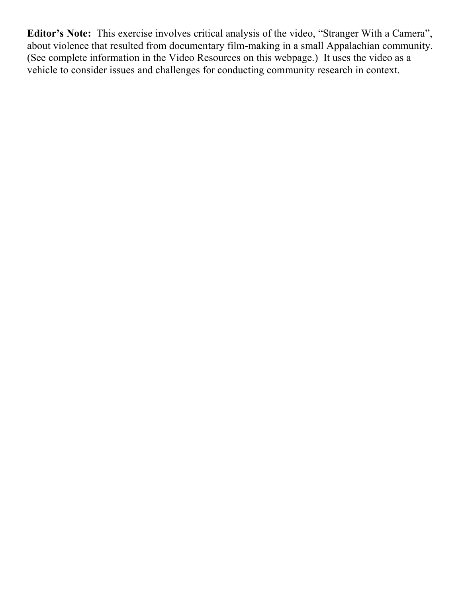**Editor's Note:** This exercise involves critical analysis of the video, "Stranger With a Camera", about violence that resulted from documentary film-making in a small Appalachian community. (See complete information in the Video Resources on this webpage.) It uses the video as a vehicle to consider issues and challenges for conducting community research in context.